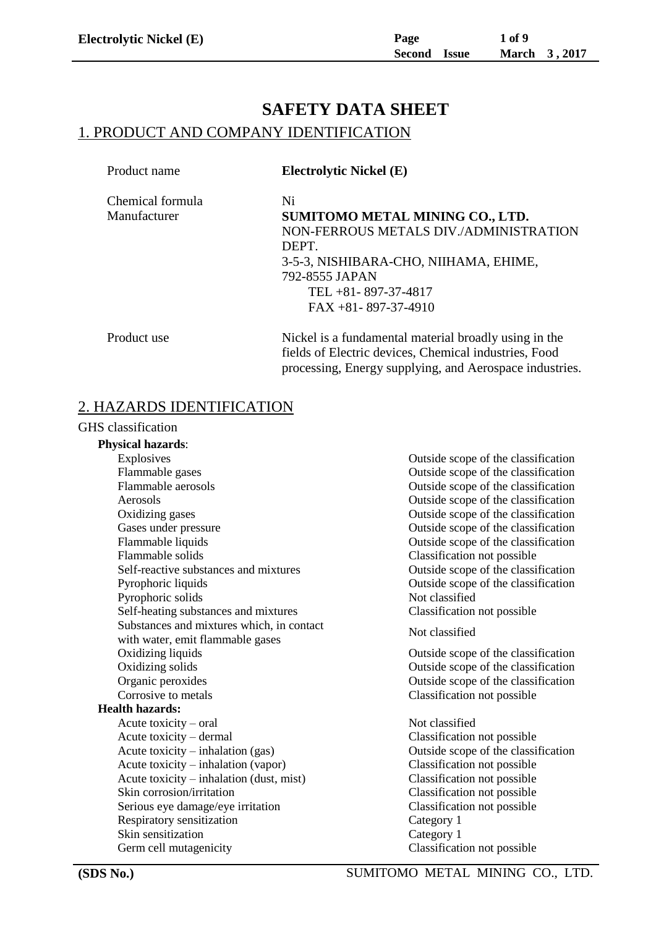# **SAFETY DATA SHEET** 1. PRODUCT AND COMPANY IDENTIFICATION

| Product name     | <b>Electrolytic Nickel (E)</b>                                                                                 |
|------------------|----------------------------------------------------------------------------------------------------------------|
| Chemical formula | Ni                                                                                                             |
| Manufacturer     | SUMITOMO METAL MINING CO., LTD.                                                                                |
|                  | NON-FERROUS METALS DIV./ADMINISTRATION                                                                         |
|                  | DEPT.                                                                                                          |
|                  | 3-5-3, NISHIBARA-CHO, NIIHAMA, EHIME,                                                                          |
|                  | 792-8555 JAPAN                                                                                                 |
|                  | TEL $+81 - 897 - 37 - 4817$                                                                                    |
|                  | $FAX + 81 - 897 - 37 - 4910$                                                                                   |
| Product use      | Nickel is a fundamental material broadly using in the<br>fields of Electric devices, Chemical industries, Food |

processing, Energy supplying, and Aerospace industries.

### 2. HAZARDS IDENTIFICATION

#### GHS classification

#### **Physical hazards**:

Explosives Outside scope of the classification Flammable gases Outside scope of the classification Flammable aerosols Outside scope of the classification Aerosols Outside scope of the classification Oxidizing gases Outside scope of the classification Gases under pressure **C** and  $\alpha$  outside scope of the classification Flammable liquids Outside scope of the classification Flammable solids Classification not possible Self-reactive substances and mixtures Outside scope of the classification Pyrophoric liquids Outside scope of the classification Pyrophoric solids Not classified Self-heating substances and mixtures Classification not possible Substances and mixtures which, in contact substances and inxtities winen, in contact<br>with water, emit flammable gases Oxidizing liquids Outside scope of the classification Oxidizing solids Outside scope of the classification Organic peroxides Outside scope of the classification Corrosive to metals Classification not possible **Health hazards:** Acute toxicity – oral Not classified Acute toxicity – dermal Classification not possible Acute toxicity – inhalation (gas) Outside scope of the classification Acute toxicity – inhalation (vapor) Classification not possible Acute toxicity – inhalation (dust, mist) Classification not possible Skin corrosion/irritation example of the Classification not possible Serious eye damage/eye irritation Classification not possible Respiratory sensitization Category 1 Skin sensitization Category 1 Germ cell mutagenicity Classification not possible

**(SDS No.)** SUMITOMO METAL MINING CO., LTD.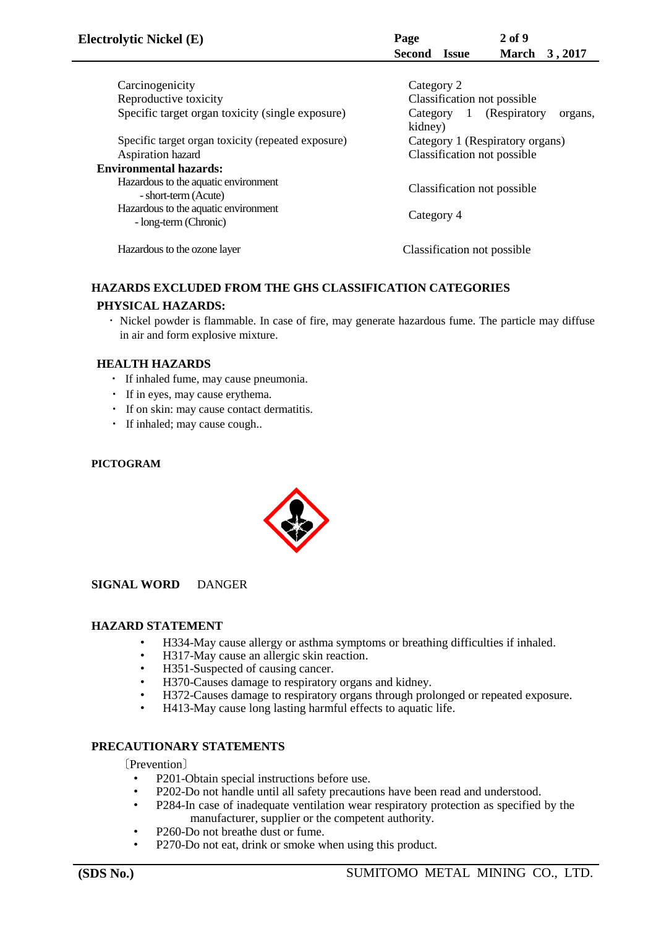| <b>Electrolytic Nickel (E)</b>                                | 2 <sub>of</sub> 9<br>Page<br>Second Issue<br>March 3, 2017      |
|---------------------------------------------------------------|-----------------------------------------------------------------|
|                                                               |                                                                 |
| Carcinogenicity                                               | Category 2                                                      |
| Reproductive toxicity                                         | Classification not possible                                     |
| Specific target organ toxicity (single exposure)              | (Respiratory)<br>Category<br>$\mathbf{1}$<br>organs,<br>kidney) |
| Specific target organ toxicity (repeated exposure)            | Category 1 (Respiratory organs)                                 |
| Aspiration hazard                                             | Classification not possible                                     |
| <b>Environmental hazards:</b>                                 |                                                                 |
| Hazardous to the aquatic environment<br>- short-term (Acute)  | Classification not possible                                     |
| Hazardous to the aquatic environment<br>- long-term (Chronic) | Category 4                                                      |
| Hazardous to the ozone layer                                  | Classification not possible.                                    |

### **HAZARDS EXCLUDED FROM THE GHS CLASSIFICATION CATEGORIES PHYSICAL HAZARDS:**

 ・ Nickel powder is flammable. In case of fire, may generate hazardous fume. The particle may diffuse in air and form explosive mixture.

### **HEALTH HAZARDS**

- ・ If inhaled fume, may cause pneumonia.
- ・ If in eyes, may cause erythema.
- ・ If on skin: may cause contact dermatitis.
- ・ If inhaled; may cause cough..

#### **PICTOGRAM**



**SIGNAL WORD** DANGER

### **HAZARD STATEMENT**

- ・ H334-May cause allergy or asthma symptoms or breathing difficulties if inhaled.
- H317-May cause an allergic skin reaction.
- H351-Suspected of causing cancer.<br>• H370-Causes damage to respirators
- H370-Causes damage to respiratory organs and kidney.
- H372-Causes damage to respiratory organs through prolonged or repeated exposure.
- H413-May cause long lasting harmful effects to aquatic life.

### **PRECAUTIONARY STATEMENTS**

〔Prevention〕

- ・ P201-Obtain special instructions before use.
- P202-Do not handle until all safety precautions have been read and understood.<br>• P284-In case of inadequate ventilation wear respiratory protection as specified
- P284-In case of inadequate ventilation wear respiratory protection as specified by the manufacturer, supplier or the competent authority.
- P260-Do not breathe dust or fume.
- P270-Do not eat, drink or smoke when using this product.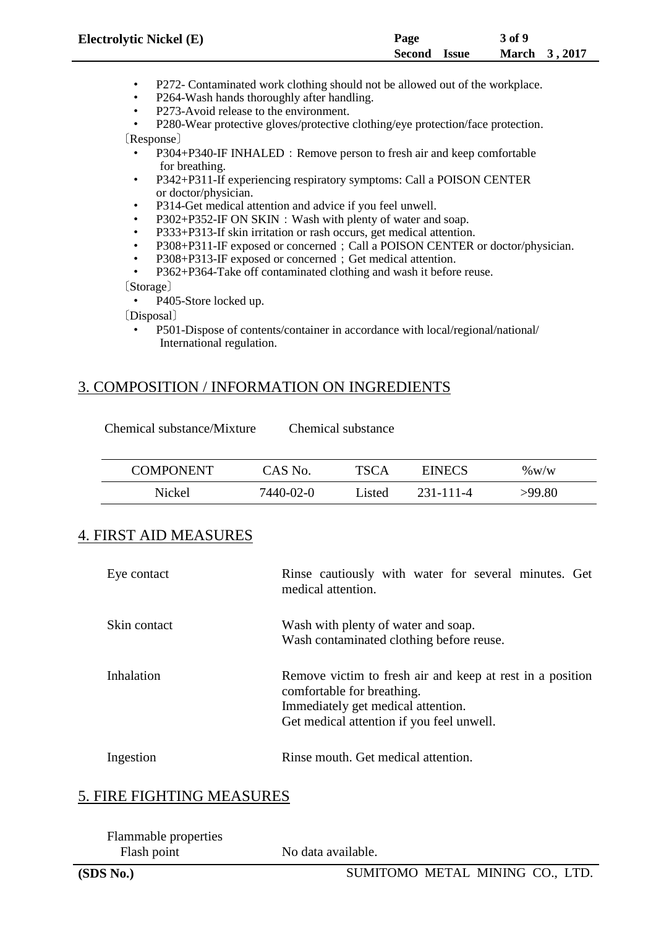| <b>Electrolytic Nickel (E)</b> | Page                | 3 of 9               |
|--------------------------------|---------------------|----------------------|
|                                | <b>Second</b> Issue | <b>March</b> 3, 2017 |

- ・ P272- Contaminated work clothing should not be allowed out of the workplace.
- P264-Wash hands thoroughly after handling.
- P273-Avoid release to the environment.

P280-Wear protective gloves/protective clothing/eye protection/face protection. 〔Response〕

- P304+P340-IF INHALED: Remove person to fresh air and keep comfortable for breathing.
- ・ P342+P311-If experiencing respiratory symptoms: Call a POISON CENTER or doctor/physician.
- P314-Get medical attention and advice if you feel unwell.
- P302+P352-IF ON SKIN: Wash with plenty of water and soap.
- P333+P313-If skin irritation or rash occurs, get medical attention.
- P308+P311-IF exposed or concerned; Call a POISON CENTER or doctor/physician.
- P308+P313-IF exposed or concerned; Get medical attention.
- P362+P364-Take off contaminated clothing and wash it before reuse.

〔Storage〕

P405-Store locked up.

〔Disposal〕

P501-Dispose of contents/container in accordance with local/regional/national/ International regulation.

## 3. COMPOSITION / INFORMATION ON INGREDIENTS

| <b>COMPONENT</b> | CAS No.   | <b>TSCA</b>  | <b>EINECS</b> | $\%$ W/W |
|------------------|-----------|--------------|---------------|----------|
| Nickel           | 7440-02-0 | <i>isted</i> | 231-111-4     | >99.80   |

## 4. FIRST AID MEASURES

| Eye contact  | Rinse cautiously with water for several minutes. Get<br>medical attention.                                                                                                 |
|--------------|----------------------------------------------------------------------------------------------------------------------------------------------------------------------------|
| Skin contact | Wash with plenty of water and soap.<br>Wash contaminated clothing before reuse.                                                                                            |
| Inhalation   | Remove victim to fresh air and keep at rest in a position<br>comfortable for breathing.<br>Immediately get medical attention.<br>Get medical attention if you feel unwell. |
| Ingestion    | Rinse mouth. Get medical attention.                                                                                                                                        |

## 5. FIRE FIGHTING MEASURES

| <b>Flammable properties</b> |                    |
|-----------------------------|--------------------|
| Flash point                 | No data available. |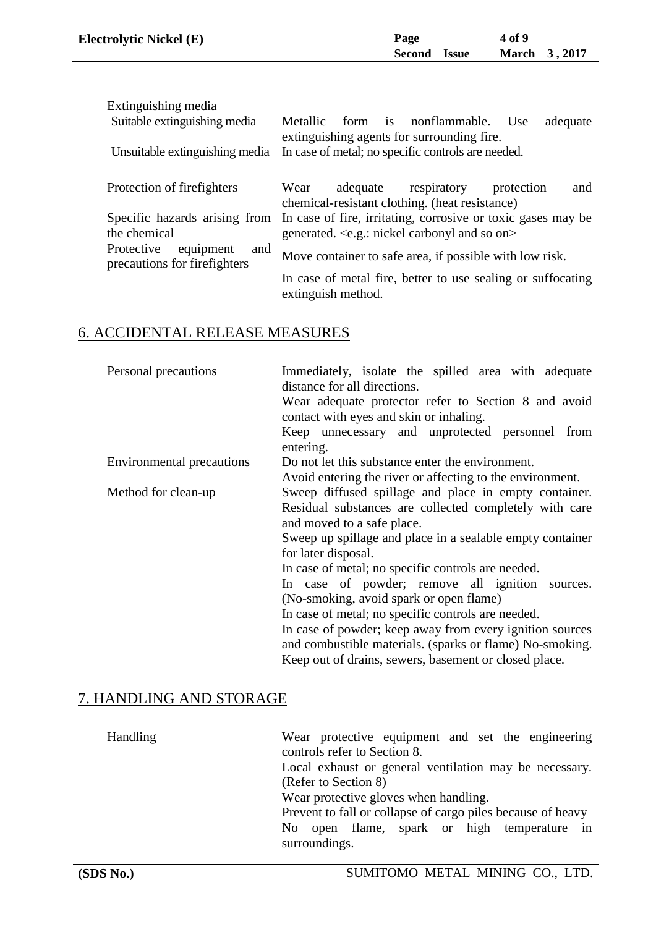| <b>Electrolytic Nickel (E)</b> | Page         | <b>4 of 9</b> |
|--------------------------------|--------------|---------------|
|                                | Second Issue | March 3, 2017 |
|                                |              |               |

| Extinguishing media                                                                           |                                                                                                        |  |  |
|-----------------------------------------------------------------------------------------------|--------------------------------------------------------------------------------------------------------|--|--|
| Suitable extinguishing media                                                                  | Metallic form is nonflammable.<br>adequate<br>Use                                                      |  |  |
| Unsuitable extinguishing media                                                                | extinguishing agents for surrounding fire.<br>In case of metal; no specific controls are needed.       |  |  |
| Protection of firefighters                                                                    | adequate<br>respiratory<br>Wear<br>protection<br>and<br>chemical-resistant clothing. (heat resistance) |  |  |
| In case of fire, irritating, corrosive or toxic gases may be<br>Specific hazards arising from |                                                                                                        |  |  |
| the chemical                                                                                  | generated. <e.g.: and="" carbonyl="" nickel="" on="" so=""></e.g.:>                                    |  |  |
| Protective<br>equipment<br>and<br>precautions for firefighters                                | Move container to safe area, if possible with low risk.                                                |  |  |
|                                                                                               | In case of metal fire, better to use sealing or suffocating<br>extinguish method.                      |  |  |

# 6. ACCIDENTAL RELEASE MEASURES

| Immediately, isolate the spilled area with adequate<br>distance for all directions.             |  |  |  |
|-------------------------------------------------------------------------------------------------|--|--|--|
| Wear adequate protector refer to Section 8 and avoid<br>contact with eyes and skin or inhaling. |  |  |  |
| Keep unnecessary and unprotected personnel from<br>entering.                                    |  |  |  |
| Do not let this substance enter the environment.                                                |  |  |  |
| Avoid entering the river or affecting to the environment.                                       |  |  |  |
| Sweep diffused spillage and place in empty container.                                           |  |  |  |
| Residual substances are collected completely with care                                          |  |  |  |
| and moved to a safe place.                                                                      |  |  |  |
| Sweep up spillage and place in a sealable empty container                                       |  |  |  |
| for later disposal.                                                                             |  |  |  |
| In case of metal; no specific controls are needed.                                              |  |  |  |
| In case of powder; remove all ignition sources.                                                 |  |  |  |
| (No-smoking, avoid spark or open flame)                                                         |  |  |  |
| In case of metal; no specific controls are needed.                                              |  |  |  |
| In case of powder; keep away from every ignition sources                                        |  |  |  |
| and combustible materials. (sparks or flame) No-smoking.                                        |  |  |  |
| Keep out of drains, sewers, basement or closed place.                                           |  |  |  |
|                                                                                                 |  |  |  |

# 7. HANDLING AND STORAGE

| Wear protective equipment and set the engineering<br>controls refer to Section 8. |
|-----------------------------------------------------------------------------------|
| Local exhaust or general ventilation may be necessary.                            |
| (Refer to Section 8)                                                              |
| Wear protective gloves when handling.                                             |
| Prevent to fall or collapse of cargo piles because of heavy                       |
| No open flame, spark or high temperature in<br>surroundings.                      |
|                                                                                   |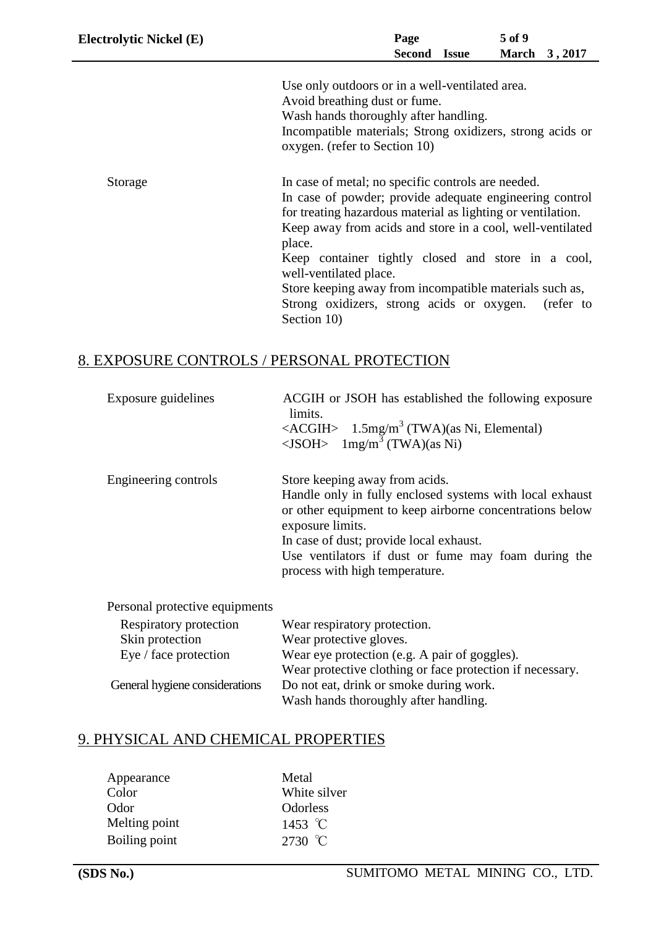| <b>Electrolytic Nickel (E)</b> | Page<br>Second Issue                                                                                                                                                                                                                                                                                                                                                                                                                                                 | 5 of 9 | March 3, 2017 |
|--------------------------------|----------------------------------------------------------------------------------------------------------------------------------------------------------------------------------------------------------------------------------------------------------------------------------------------------------------------------------------------------------------------------------------------------------------------------------------------------------------------|--------|---------------|
|                                | Use only outdoors or in a well-ventilated area.<br>Avoid breathing dust or fume.<br>Wash hands thoroughly after handling.<br>Incompatible materials; Strong oxidizers, strong acids or<br>oxygen. (refer to Section 10)                                                                                                                                                                                                                                              |        |               |
| Storage                        | In case of metal; no specific controls are needed.<br>In case of powder; provide adequate engineering control<br>for treating hazardous material as lighting or ventilation.<br>Keep away from acids and store in a cool, well-ventilated<br>place.<br>Keep container tightly closed and store in a cool,<br>well-ventilated place.<br>Store keeping away from incompatible materials such as,<br>Strong oxidizers, strong acids or oxygen. (refer to<br>Section 10) |        |               |

# 8. EXPOSURE CONTROLS / PERSONAL PROTECTION

| Exposure guidelines            | ACGIH or JSOH has established the following exposure<br>limits.<br><acgih> <math>1.5</math>mg/m<sup>3</sup> (TWA)(as Ni, Elemental)<br/><jsoh> <math>1</math>mg/m<sup>3</sup> (TWA)(as Ni)</jsoh></acgih>                                                                                                      |
|--------------------------------|----------------------------------------------------------------------------------------------------------------------------------------------------------------------------------------------------------------------------------------------------------------------------------------------------------------|
| Engineering controls           | Store keeping away from acids.<br>Handle only in fully enclosed systems with local exhaust<br>or other equipment to keep airborne concentrations below<br>exposure limits.<br>In case of dust; provide local exhaust.<br>Use ventilators if dust or fume may foam during the<br>process with high temperature. |
| Personal protective equipments |                                                                                                                                                                                                                                                                                                                |
| Respiratory protection         | Wear respiratory protection.                                                                                                                                                                                                                                                                                   |
| Skin protection                | Wear protective gloves.                                                                                                                                                                                                                                                                                        |

| Skin protection                | Wear protective gloves.                                   |
|--------------------------------|-----------------------------------------------------------|
| Eye / face protection          | Wear eye protection (e.g. A pair of goggles).             |
|                                | Wear protective clothing or face protection if necessary. |
| General hygiene considerations | Do not eat, drink or smoke during work.                   |
|                                | Wash hands thoroughly after handling.                     |

# 9. PHYSICAL AND CHEMICAL PROPERTIES

| Appearance    | Metal           |
|---------------|-----------------|
| Color         | White silver    |
| Odor          | <b>Odorless</b> |
| Melting point | 1453 °C         |
| Boiling point | 2730 °C         |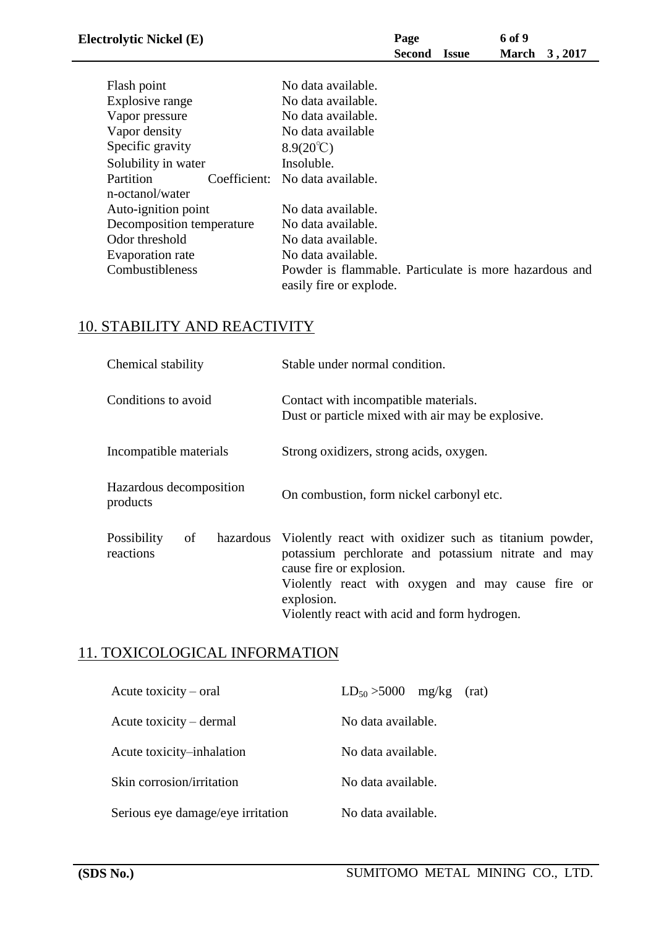| <b>Electrolytic Nickel (E)</b> |                                 | Page<br>Second | Issue | 6 of 9<br>March | 3,2017 |
|--------------------------------|---------------------------------|----------------|-------|-----------------|--------|
| Flash point                    | No data available.              |                |       |                 |        |
| Explosive range                | No data available.              |                |       |                 |        |
| Vapor pressure                 | No data available.              |                |       |                 |        |
| Vapor density                  | No data available               |                |       |                 |        |
| Specific gravity               | $8.9(20^{\circ}\text{C})$       |                |       |                 |        |
| Solubility in water            | Insoluble.                      |                |       |                 |        |
| Partition                      | Coefficient: No data available. |                |       |                 |        |
| n-octanol/water                |                                 |                |       |                 |        |
| Auto-ignition point            | No data available.              |                |       |                 |        |

| Odor threshold         | No data available.                                                                |
|------------------------|-----------------------------------------------------------------------------------|
| Evaporation rate       | No data available.                                                                |
| <b>Combustibleness</b> | Powder is flammable. Particulate is more hazardous and<br>easily fire or explode. |

# 10. STABILITY AND REACTIVITY

Decomposition temperature No data available.

| Chemical stability                  | Stable under normal condition.                                                                                                                                                                                                                                         |  |  |  |
|-------------------------------------|------------------------------------------------------------------------------------------------------------------------------------------------------------------------------------------------------------------------------------------------------------------------|--|--|--|
| Conditions to avoid                 | Contact with incompatible materials.<br>Dust or particle mixed with air may be explosive.                                                                                                                                                                              |  |  |  |
| Incompatible materials              | Strong oxidizers, strong acids, oxygen.                                                                                                                                                                                                                                |  |  |  |
| Hazardous decomposition<br>products | On combustion, form nickel carbonyl etc.                                                                                                                                                                                                                               |  |  |  |
| Possibility<br>of<br>reactions      | hazardous Violently react with oxidizer such as titanium powder,<br>potassium perchlorate and potassium nitrate and may<br>cause fire or explosion.<br>Violently react with oxygen and may cause fire or<br>explosion.<br>Violently react with acid and form hydrogen. |  |  |  |

# 11. TOXICOLOGICAL INFORMATION

| Acute toxicity $-$ oral           | $LD_{50} > 5000$<br>mg/kg<br>(rat) |
|-----------------------------------|------------------------------------|
| Acute toxicity – dermal           | No data available.                 |
| Acute toxicity–inhalation         | No data available.                 |
| Skin corrosion/irritation         | No data available.                 |
| Serious eye damage/eye irritation | No data available.                 |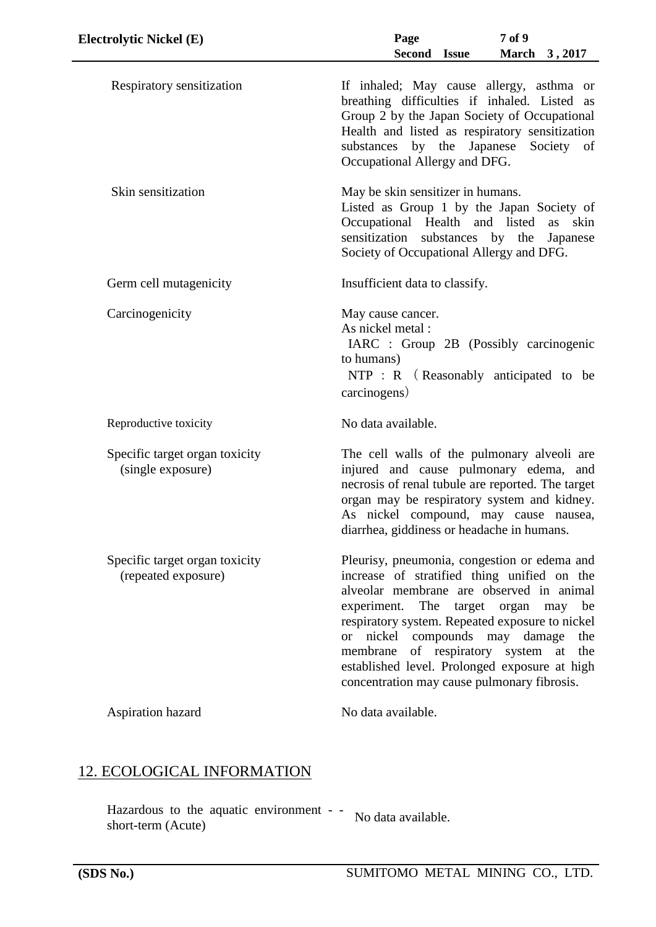| <b>Electrolytic Nickel (E)</b>                        | 7 of 9<br>Page<br>Second Issue<br>March 3, 2017                                                                                                                                                                                                                                                                                                                                                                                            |
|-------------------------------------------------------|--------------------------------------------------------------------------------------------------------------------------------------------------------------------------------------------------------------------------------------------------------------------------------------------------------------------------------------------------------------------------------------------------------------------------------------------|
| Respiratory sensitization                             | If inhaled; May cause allergy, asthma or<br>breathing difficulties if inhaled. Listed as<br>Group 2 by the Japan Society of Occupational<br>Health and listed as respiratory sensitization<br>substances by the Japanese<br>Society of<br>Occupational Allergy and DFG.                                                                                                                                                                    |
| Skin sensitization                                    | May be skin sensitizer in humans.<br>Listed as Group 1 by the Japan Society of<br>Occupational Health and listed<br>as skin<br>sensitization substances by the<br>Japanese<br>Society of Occupational Allergy and DFG.                                                                                                                                                                                                                     |
| Germ cell mutagenicity                                | Insufficient data to classify.                                                                                                                                                                                                                                                                                                                                                                                                             |
| Carcinogenicity                                       | May cause cancer.<br>As nickel metal :<br>IARC : Group 2B (Possibly carcinogenic<br>to humans)<br>$NTP : R$ (Reasonably anticipated to be<br>carcinogens)                                                                                                                                                                                                                                                                                  |
| Reproductive toxicity                                 | No data available.                                                                                                                                                                                                                                                                                                                                                                                                                         |
| Specific target organ toxicity<br>(single exposure)   | The cell walls of the pulmonary alveoli are<br>injured and cause pulmonary edema, and<br>necrosis of renal tubule are reported. The target<br>organ may be respiratory system and kidney.<br>As nickel compound, may cause nausea,<br>diarrhea, giddiness or headache in humans.                                                                                                                                                           |
| Specific target organ toxicity<br>(repeated exposure) | Pleurisy, pneumonia, congestion or edema and<br>increase of stratified thing unified on the<br>alveolar membrane are observed in animal<br>experiment. The target organ may<br>be<br>respiratory system. Repeated exposure to nickel<br>nickel compounds may damage<br>the<br><sub>or</sub><br>of respiratory system at<br>membrane<br>the<br>established level. Prolonged exposure at high<br>concentration may cause pulmonary fibrosis. |
| Aspiration hazard                                     | No data available.                                                                                                                                                                                                                                                                                                                                                                                                                         |

# 12. ECOLOGICAL INFORMATION

Hazardous to the aquatic environment - short-term (Acute) No data available.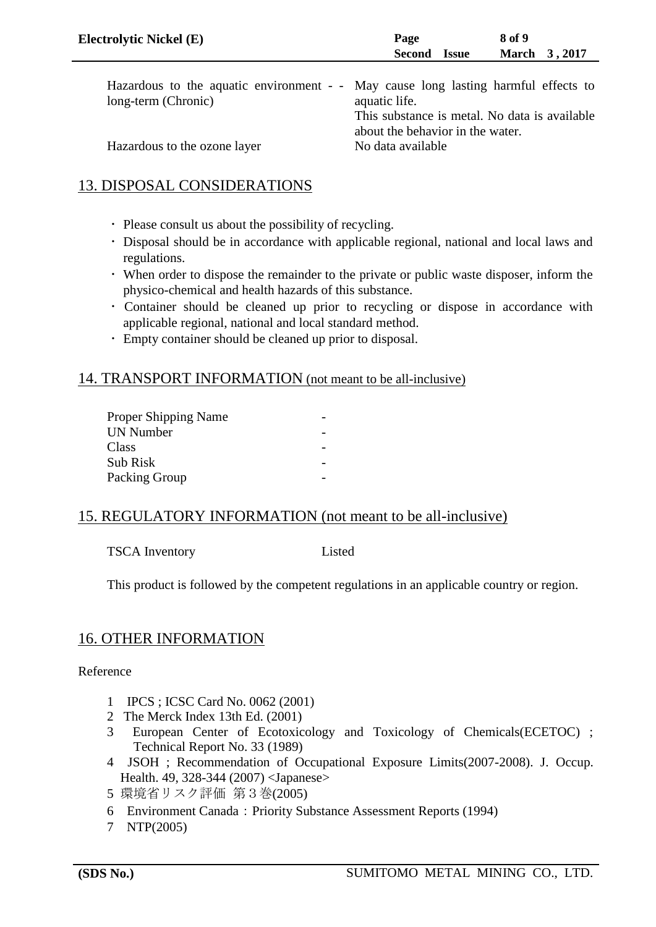| <b>Electrolytic Nickel (E)</b>                                                     | Page                                                  | 8 of 9        |
|------------------------------------------------------------------------------------|-------------------------------------------------------|---------------|
|                                                                                    | Second<br><b>Issue</b>                                | March 3, 2017 |
| Hazardous to the aquatic environment - - May cause long lasting harmful effects to |                                                       |               |
| long-term (Chronic)                                                                | aquatic life.                                         |               |
|                                                                                    | This substance is metal. No data is available         |               |
| Hazardous to the ozone layer                                                       | about the behavior in the water.<br>No data available |               |

## 13. DISPOSAL CONSIDERATIONS

- ・ Please consult us about the possibility of recycling.
- ・ Disposal should be in accordance with applicable regional, national and local laws and regulations.
- ・ When order to dispose the remainder to the private or public waste disposer, inform the physico-chemical and health hazards of this substance.
- ・ Container should be cleaned up prior to recycling or dispose in accordance with applicable regional, national and local standard method.
- ・ Empty container should be cleaned up prior to disposal.

### 14. TRANSPORT INFORMATION (not meant to be all-inclusive)

### 15. REGULATORY INFORMATION (not meant to be all-inclusive)

TSCA Inventory Listed

This product is followed by the competent regulations in an applicable country or region.

## 16. OTHER INFORMATION

Reference

- 1 IPCS ; ICSC Card No. 0062 (2001)
- 2 The Merck Index 13th Ed. (2001)
- 3 European Center of Ecotoxicology and Toxicology of Chemicals(ECETOC) ; Technical Report No. 33 (1989)
- 4 JSOH ; Recommendation of Occupational Exposure Limits(2007-2008). J. Occup. Health. 49, 328-344 (2007) <Japanese>
- 5 環境省リスク評価 第3巻(2005)
- 6 Environment Canada:Priority Substance Assessment Reports (1994)
- 7 NTP(2005)